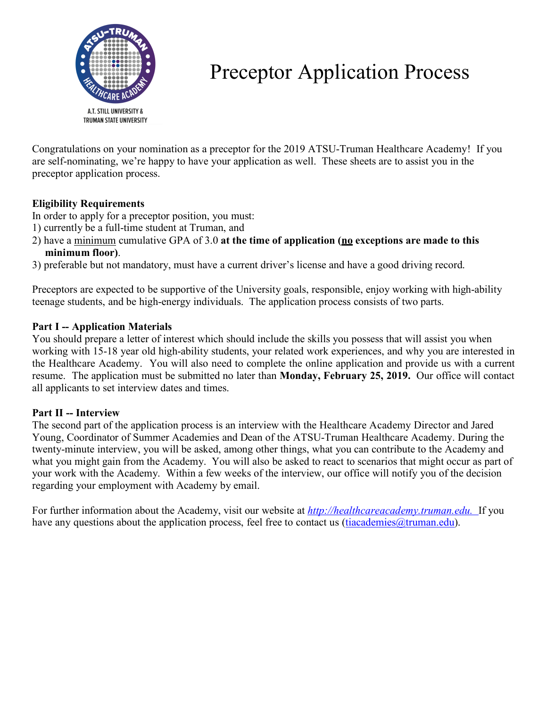

# Preceptor Application Process

Congratulations on your nomination as a preceptor for the 2019 ATSU-Truman Healthcare Academy! If you are self-nominating, we're happy to have your application as well. These sheets are to assist you in the preceptor application process.

# **Eligibility Requirements**

In order to apply for a preceptor position, you must:

- 1) currently be a full-time student at Truman, and
- 2) have a minimum cumulative GPA of 3.0 **at the time of application (no exceptions are made to this minimum floor)**.
- 3) preferable but not mandatory, must have a current driver's license and have a good driving record.

Preceptors are expected to be supportive of the University goals, responsible, enjoy working with high-ability teenage students, and be high-energy individuals. The application process consists of two parts.

#### **Part I -- Application Materials**

You should prepare a letter of interest which should include the skills you possess that will assist you when working with 15-18 year old high-ability students, your related work experiences, and why you are interested in the Healthcare Academy. You will also need to complete the online application and provide us with a current resume. The application must be submitted no later than **Monday, February 25, 2019.** Our office will contact all applicants to set interview dates and times.

# **Part II -- Interview**

The second part of the application process is an interview with the Healthcare Academy Director and Jared Young, Coordinator of Summer Academies and Dean of the ATSU-Truman Healthcare Academy. During the twenty-minute interview, you will be asked, among other things, what you can contribute to the Academy and what you might gain from the Academy. You will also be asked to react to scenarios that might occur as part of your work with the Academy. Within a few weeks of the interview, our office will notify you of the decision regarding your employment with Academy by email.

For further information about the Academy, visit our website at *http://healthcareacademy.truman.edu.* If you have any questions about the application process, feel free to contact us (tiacademies $@$ truman.edu).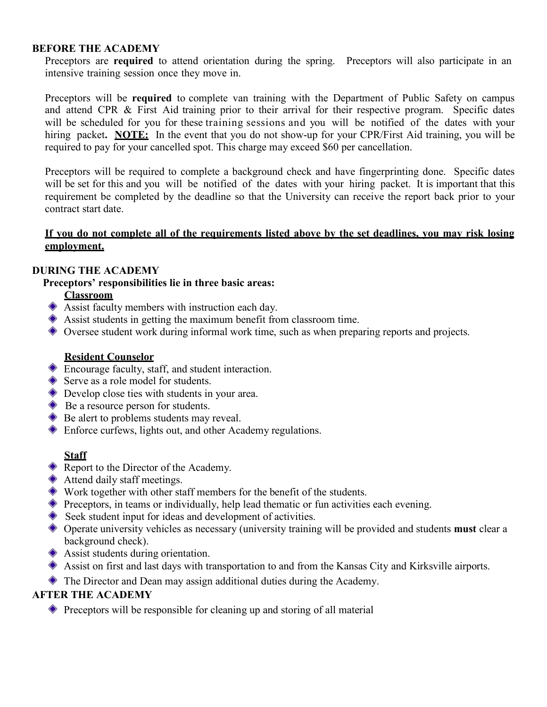#### **BEFORE THE ACADEMY**

Preceptors are **required** to attend orientation during the spring. Preceptors will also participate in an intensive training session once they move in.

Preceptors will be **required** to complete van training with the Department of Public Safety on campus and attend CPR & First Aid training prior to their arrival for their respective program. Specific dates will be scheduled for you for these training sessions and you will be notified of the dates with your hiring packet**. NOTE:** In the event that you do not show-up for your CPR/First Aid training, you will be required to pay for your cancelled spot. This charge may exceed \$60 per cancellation.

Preceptors will be required to complete a background check and have fingerprinting done. Specific dates will be set for this and you will be notified of the dates with your hiring packet. It is important that this requirement be completed by the deadline so that the University can receive the report back prior to your contract start date.

#### If you do not complete all of the requirements listed above by the set deadlines, you may risk losing **employment.**

#### **DURING THE ACADEMY**

#### **Preceptors' responsibilities lie in three basic areas:**

#### **Classroom**

- Assist faculty members with instruction each day.
- Assist students in getting the maximum benefit from classroom time.
- Oversee student work during informal work time, such as when preparing reports and projects.

#### **Resident Counselor**

- Encourage faculty, staff, and student interaction.
- Serve as a role model for students.
- ◆ Develop close ties with students in your area.
- ♦ Be a resource person for students.
- **◆** Be alert to problems students may reveal.
- Enforce curfews, lights out, and other Academy regulations.

#### **Staff**

- Report to the Director of the Academy.
- **◆** Attend daily staff meetings.
- Work together with other staff members for the benefit of the students.
- **Preceptors, in teams or individually, help lead thematic or fun activities each evening.**
- Seek student input for ideas and development of activities.
- Operate university vehicles as necessary (university training will be provided and students **must** clear a background check).
- Assist students during orientation.
- Assist on first and last days with transportation to and from the Kansas City and Kirksville airports.
- $\triangle$  The Director and Dean may assign additional duties during the Academy.

#### **AFTER THE ACADEMY**

Preceptors will be responsible for cleaning up and storing of all material